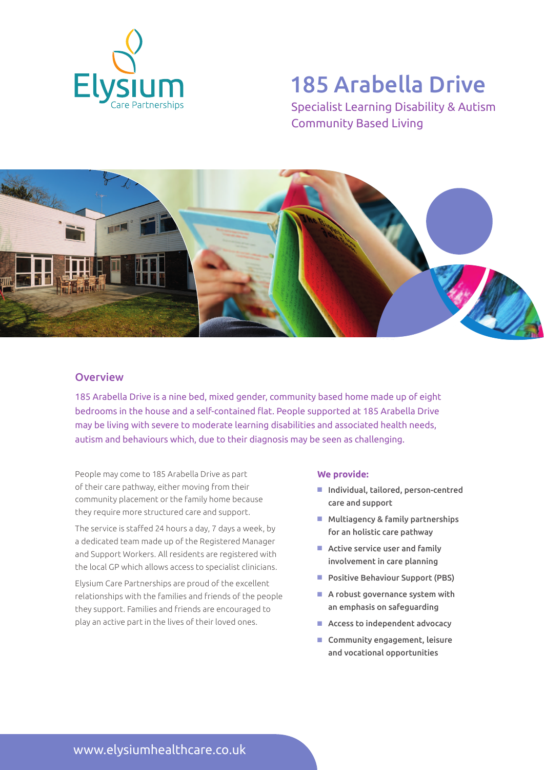

# 185 Arabella Drive

Specialist Learning Disability & Autism Community Based Living



## **Overview**

185 Arabella Drive is a nine bed, mixed gender, community based home made up of eight bedrooms in the house and a self-contained flat. People supported at 185 Arabella Drive may be living with severe to moderate learning disabilities and associated health needs, autism and behaviours which, due to their diagnosis may be seen as challenging.

People may come to 185 Arabella Drive as part of their care pathway, either moving from their community placement or the family home because they require more structured care and support.

The service is staffed 24 hours a day, 7 days a week, by a dedicated team made up of the Registered Manager and Support Workers. All residents are registered with the local GP which allows access to specialist clinicians.

Elysium Care Partnerships are proud of the excellent relationships with the families and friends of the people they support. Families and friends are encouraged to play an active part in the lives of their loved ones.

#### **We provide:**

- Individual, tailored, person-centred care and support
- $M$  Multiagency & family partnerships for an holistic care pathway
- $\blacksquare$  Active service user and family involvement in care planning
- Positive Behaviour Support (PBS)
- $\blacksquare$  A robust governance system with an emphasis on safeguarding
- $\blacksquare$  Access to independent advocacy
- $\blacksquare$  Community engagement, leisure and vocational opportunities

www.elysiumhealthcare.co.uk